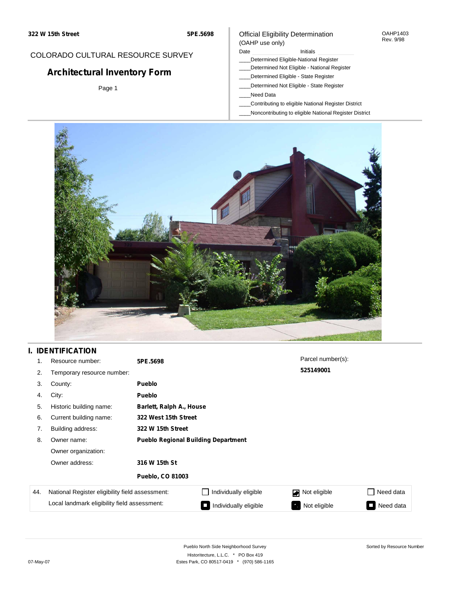### Official Eligibility Determination (OAHP use only)

#### OAHP1403 Rev. 9/98

### COLORADO CULTURAL RESOURCE SURVEY

# **Architectural Inventory Form**

Page 1

## Date **Initials** Initials

- \_\_\_\_Determined Eligible-National Register \_\_\_\_Determined Not Eligible - National Register
- \_\_\_\_Determined Eligible State Register
- \_\_\_\_Determined Not Eligible State Register
- \_\_\_\_Need Data
- \_\_\_\_Contributing to eligible National Register District
- \_\_\_\_Noncontributing to eligible National Register District



### **I. IDENTIFICATION**

| 1.  | Resource number:                                | 5PE.5698                                   |                          | Parcel number(s): |                            |  |  |  |
|-----|-------------------------------------------------|--------------------------------------------|--------------------------|-------------------|----------------------------|--|--|--|
| 2.  | Temporary resource number:                      |                                            |                          | 525149001         |                            |  |  |  |
| 3.  | County:                                         | <b>Pueblo</b>                              |                          |                   |                            |  |  |  |
| 4.  | City:                                           | <b>Pueblo</b>                              |                          |                   |                            |  |  |  |
| 5.  | Historic building name:                         |                                            | Barlett, Ralph A., House |                   |                            |  |  |  |
| 6.  | Current building name:                          | 322 West 15th Street                       |                          |                   |                            |  |  |  |
| 7.  | Building address:                               | 322 W 15th Street                          |                          |                   |                            |  |  |  |
| 8.  | Owner name:                                     | <b>Pueblo Regional Building Department</b> |                          |                   |                            |  |  |  |
|     | Owner organization:                             |                                            |                          |                   |                            |  |  |  |
|     | Owner address:<br>316 W 15th St                 |                                            |                          |                   |                            |  |  |  |
|     |                                                 | <b>Pueblo, CO 81003</b>                    |                          |                   |                            |  |  |  |
| 44. | National Register eligibility field assessment: |                                            | Individually eligible    | Not eligible      | Need data                  |  |  |  |
|     | Local landmark eligibility field assessment:    |                                            | Individually eligible    | Not eligible      | Need data<br>$\mathcal{L}$ |  |  |  |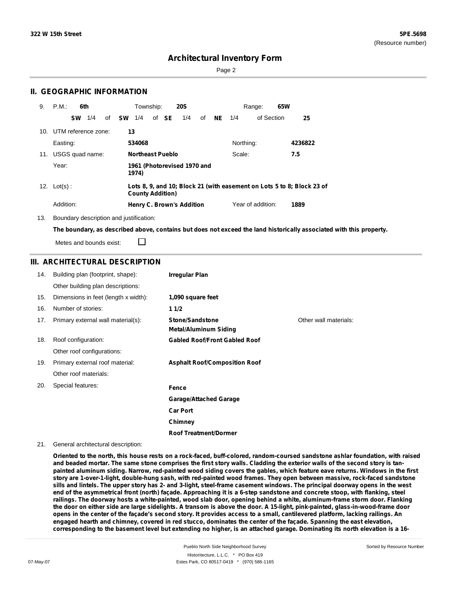Sorted by Resource Number

### **Architectural Inventory Form**

Page 2

### **II. GEOGRAPHIC INFORMATION**

| 9.  | P.M.                    |           | 6th |    |                                                                                                   | Township:               |  |       | <b>20S</b>                       |    |           |           | 65W<br>Range:     |         |
|-----|-------------------------|-----------|-----|----|---------------------------------------------------------------------------------------------------|-------------------------|--|-------|----------------------------------|----|-----------|-----------|-------------------|---------|
|     |                         | <b>SW</b> | 1/4 | of | <b>SW</b>                                                                                         | 1/4                     |  | of SE | 1/4                              | of | <b>NE</b> | 1/4       | of Section        | 25      |
|     | 10. UTM reference zone: |           |     |    | 13                                                                                                |                         |  |       |                                  |    |           |           |                   |         |
|     | Easting:                |           |     |    |                                                                                                   | 534068                  |  |       |                                  |    |           | Northing: |                   | 4236822 |
| 11. | USGS quad name:         |           |     |    |                                                                                                   | <b>Northeast Pueblo</b> |  |       |                                  |    |           | Scale:    |                   | 7.5     |
|     | Year:                   |           |     |    |                                                                                                   | 1974)                   |  |       | 1961 (Photorevised 1970 and      |    |           |           |                   |         |
|     | 12. $Lot(s)$ :          |           |     |    | Lots 8, 9, and 10; Block 21 (with easement on Lots 5 to 8; Block 23 of<br><b>County Addition)</b> |                         |  |       |                                  |    |           |           |                   |         |
|     | Addition:               |           |     |    |                                                                                                   |                         |  |       | <b>Henry C. Brown's Addition</b> |    |           |           | Year of addition: | 1889    |

13. Boundary description and justification:

□

The boundary, as described above, contains but does not exceed the land historically associated with this property.

Metes and bounds exist:

### **III. ARCHITECTURAL DESCRIPTION**

| 14. | Building plan (footprint, shape):    | <b>Irregular Plan</b>                                  |                       |
|-----|--------------------------------------|--------------------------------------------------------|-----------------------|
|     | Other building plan descriptions:    |                                                        |                       |
| 15. | Dimensions in feet (length x width): | 1,090 square feet                                      |                       |
| 16. | Number of stories:                   | 11/2                                                   |                       |
| 17. | Primary external wall material(s):   | <b>Stone/Sandstone</b><br><b>Metal/Aluminum Siding</b> | Other wall materials: |
| 18. | Roof configuration:                  | <b>Gabled Roof/Front Gabled Roof</b>                   |                       |
|     | Other roof configurations:           |                                                        |                       |
| 19. | Primary external roof material:      | <b>Asphalt Roof/Composition Roof</b>                   |                       |
|     | Other roof materials:                |                                                        |                       |
| 20. | Special features:                    | Fence                                                  |                       |
|     |                                      | <b>Garage/Attached Garage</b>                          |                       |
|     |                                      | <b>Car Port</b>                                        |                       |
|     |                                      | Chimney                                                |                       |
|     |                                      | <b>Roof Treatment/Dormer</b>                           |                       |

21. General architectural description:

Oriented to the north, this house rests on a rock-faced, buff-colored, random-coursed sandstone ashlar foundation, with raised and beaded mortar. The same stone comprises the first story walls. Cladding the exterior walls of the second story is tanpainted aluminum siding. Narrow, red-painted wood siding covers the gables, which feature eave returns. Windows in the first story are 1-over-1-light, double-hung sash, with red-painted wood frames. They open between massive, rock-faced sandstone sills and lintels. The upper story has 2- and 3-light, steel-frame casement windows. The principal doorway opens in the west end of the asymmetrical front (north) façade. Approaching it is a 6-step sandstone and concrete stoop, with flanking, steel railings. The doorway hosts a white-painted, wood slab door, opening behind a white, aluminum-frame storm door. Flanking the door on either side are large sidelights. A transom is above the door. A 15-light, pink-painted, glass-in-wood-frame door opens in the center of the façade's second story. It provides access to a small, cantilevered platform, lacking railings. An engaged hearth and chimney, covered in red stucco, dominates the center of the façade. Spanning the east elevation, corresponding to the basement level but extending no higher, is an attached garage. Dominating its north elevation is a 16-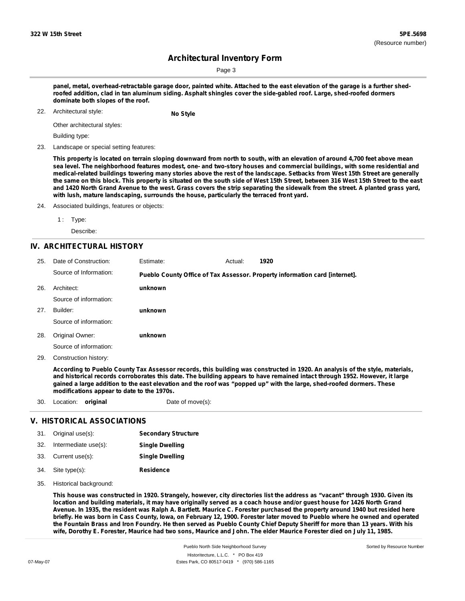Page 3

panel, metal, overhead-retractable garage door, painted white. Attached to the east elevation of the garage is a further shedroofed addition, clad in tan aluminum siding. Asphalt shingles cover the side-gabled roof. Large, shed-roofed dormers **dominate both slopes of the roof.**

Architectural style: 22. **No Style**

Other architectural styles:

Building type:

23. Landscape or special setting features:

This property is located on terrain sloping downward from north to south, with an elevation of around 4,700 feet above mean sea level. The neighborhood features modest, one- and two-story houses and commercial buildings, with some residential and medical-related buildings towering many stories above the rest of the landscape. Setbacks from West 15th Street are generally the same on this block. This property is situated on the south side of West 15th Street, between 316 West 15th Street to the east and 1420 North Grand Avenue to the west. Grass covers the strip separating the sidewalk from the street. A planted grass yard, **with lush, mature landscaping, surrounds the house, particularly the terraced front yard.**

24. Associated buildings, features or objects:

1: Type:

Describe:

#### **IV. ARCHITECTURAL HISTORY**

| 25. | Date of Construction:  | Estimate: | Actual: | 1920                                                                                                                                                                                                                                                        |
|-----|------------------------|-----------|---------|-------------------------------------------------------------------------------------------------------------------------------------------------------------------------------------------------------------------------------------------------------------|
|     | Source of Information: |           |         | Pueblo County Office of Tax Assessor. Property information card [internet].                                                                                                                                                                                 |
| 26. | Architect:             | unknown   |         |                                                                                                                                                                                                                                                             |
|     | Source of information: |           |         |                                                                                                                                                                                                                                                             |
| 27. | Builder:               | unknown   |         |                                                                                                                                                                                                                                                             |
|     | Source of information: |           |         |                                                                                                                                                                                                                                                             |
| 28. | Original Owner:        | unknown   |         |                                                                                                                                                                                                                                                             |
|     | Source of information: |           |         |                                                                                                                                                                                                                                                             |
| 29. | Construction history:  |           |         |                                                                                                                                                                                                                                                             |
|     |                        |           |         | According to Pueblo County Tax Assessor records, this building was constructed in 1920. An analysis of the style, materials,<br>and bietorical records corroborates this date. The building appears to have remained intast through 1952. However, it Jarge |

and historical records corroborates this date. The building appears to have remained intact through 1952. However, it large gained a large addition to the east elevation and the roof was "popped up" with the large, shed-roofed dormers. These **modifications appear to date to the 1970s.**

30. Location: **original** Date of move(s):

### **V. HISTORICAL ASSOCIATIONS**

|     | 31. Original use(s): | <b>Secondary Structure</b> |
|-----|----------------------|----------------------------|
| 32. | Intermediate use(s): | <b>Single Dwelling</b>     |
|     | 33. Current use(s):  | <b>Single Dwelling</b>     |
|     | 34. Site type(s):    | Residence                  |

35. Historical background:

This house was constructed in 1920. Strangely, however, city directories list the address as "vacant" through 1930. Given its location and building materials, it may have originally served as a coach house and/or guest house for 1426 North Grand Avenue. In 1935, the resident was Ralph A. Bartlett. Maurice C. Forester purchased the property around 1940 but resided here briefly. He was born in Cass County, Iowa, on February 12, 1900. Forester later moved to Pueblo where he owned and operated the Fountain Brass and Iron Foundry. He then served as Pueblo County Chief Deputy Sheriff for more than 13 years. With his wife, Dorothy E. Forester, Maurice had two sons, Maurice and John. The elder Maurice Forester died on July 11, 1985.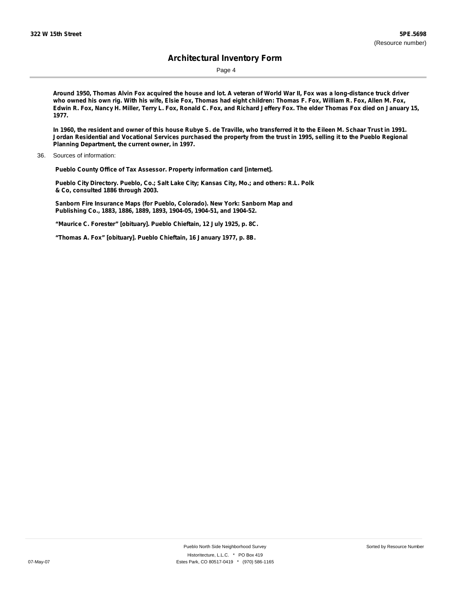Page 4

Around 1950, Thomas Alvin Fox acquired the house and lot. A veteran of World War II, Fox was a long-distance truck driver who owned his own rig. With his wife, Elsie Fox, Thomas had eight children: Thomas F. Fox, William R. Fox, Allen M. Fox, Edwin R. Fox, Nancy H. Miller, Terry L. Fox, Ronald C. Fox, and Richard Jeffery Fox. The elder Thomas Fox died on January 15, **1977.**

In 1960, the resident and owner of this house Rubye S. de Traville, who transferred it to the Eileen M. Schaar Trust in 1991. Jordan Residential and Vocational Services purchased the property from the trust in 1995, selling it to the Pueblo Regional **Planning Department, the current owner, in 1997.**

**Pueblo County Office of Tax Assessor. Property information card [internet].**

**Pueblo City Directory. Pueblo, Co.; Salt Lake City; Kansas City, Mo.; and others: R.L. Polk & Co, consulted 1886 through 2003.**

**Sanborn Fire Insurance Maps (for Pueblo, Colorado). New York: Sanborn Map and Publishing Co., 1883, 1886, 1889, 1893, 1904-05, 1904-51, and 1904-52.**

**"Maurice C. Forester" [obituary]. Pueblo Chieftain, 12 July 1925, p. 8C.**

**"Thomas A. Fox" [obituary]. Pueblo Chieftain, 16 January 1977, p. 8B.**

<sup>36.</sup> Sources of information: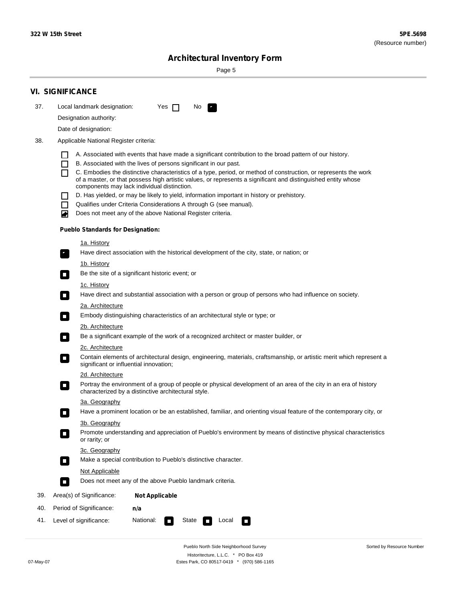Sorted by Resource Number

# **Architectural Inventory Form**

Page 5

|     | <b>VI. SIGNIFICANCE</b>                                                                                                                                                                        |  |  |  |  |  |  |
|-----|------------------------------------------------------------------------------------------------------------------------------------------------------------------------------------------------|--|--|--|--|--|--|
| 37. | Local landmark designation:<br>Yes $\Box$<br>No.<br>HE 2                                                                                                                                       |  |  |  |  |  |  |
|     | Designation authority:                                                                                                                                                                         |  |  |  |  |  |  |
|     | Date of designation:                                                                                                                                                                           |  |  |  |  |  |  |
| 38. | Applicable National Register criteria:                                                                                                                                                         |  |  |  |  |  |  |
|     |                                                                                                                                                                                                |  |  |  |  |  |  |
|     | A. Associated with events that have made a significant contribution to the broad pattern of our history.<br>B. Associated with the lives of persons significant in our past.<br>$\blacksquare$ |  |  |  |  |  |  |
|     | C. Embodies the distinctive characteristics of a type, period, or method of construction, or represents the work<br>П                                                                          |  |  |  |  |  |  |
|     | of a master, or that possess high artistic values, or represents a significant and distinguished entity whose<br>components may lack individual distinction.                                   |  |  |  |  |  |  |
|     | D. Has yielded, or may be likely to yield, information important in history or prehistory.                                                                                                     |  |  |  |  |  |  |
|     | Qualifies under Criteria Considerations A through G (see manual).<br>$\sim$                                                                                                                    |  |  |  |  |  |  |
|     | Does not meet any of the above National Register criteria.<br>₩                                                                                                                                |  |  |  |  |  |  |
|     | <b>Pueblo Standards for Designation:</b>                                                                                                                                                       |  |  |  |  |  |  |
|     | 1a. History                                                                                                                                                                                    |  |  |  |  |  |  |
|     | Have direct association with the historical development of the city, state, or nation; or<br>$\mathbf{r}_\perp$                                                                                |  |  |  |  |  |  |
|     | 1b. History                                                                                                                                                                                    |  |  |  |  |  |  |
|     | Be the site of a significant historic event; or<br>$\blacksquare$                                                                                                                              |  |  |  |  |  |  |
|     | 1c. History                                                                                                                                                                                    |  |  |  |  |  |  |
|     | Have direct and substantial association with a person or group of persons who had influence on society.<br>$\overline{\phantom{a}}$                                                            |  |  |  |  |  |  |
|     | 2a. Architecture<br>Embody distinguishing characteristics of an architectural style or type; or<br>$\mathcal{L}_{\mathcal{A}}$                                                                 |  |  |  |  |  |  |
|     | <u>2b. Architecture</u>                                                                                                                                                                        |  |  |  |  |  |  |
|     | Be a significant example of the work of a recognized architect or master builder, or<br>$\Box$                                                                                                 |  |  |  |  |  |  |
|     | 2c. Architecture                                                                                                                                                                               |  |  |  |  |  |  |
|     | Contain elements of architectural design, engineering, materials, craftsmanship, or artistic merit which represent a<br>$\Box$<br>significant or influential innovation;                       |  |  |  |  |  |  |
|     | 2d. Architecture                                                                                                                                                                               |  |  |  |  |  |  |
|     | Portray the environment of a group of people or physical development of an area of the city in an era of history<br>$\Box$<br>characterized by a distinctive architectural style.              |  |  |  |  |  |  |
|     | 3a. Geography                                                                                                                                                                                  |  |  |  |  |  |  |
|     | Have a prominent location or be an established, familiar, and orienting visual feature of the contemporary city, or                                                                            |  |  |  |  |  |  |
|     | 3b. Geography                                                                                                                                                                                  |  |  |  |  |  |  |
|     | Promote understanding and appreciation of Pueblo's environment by means of distinctive physical characteristics<br>or rarity; or                                                               |  |  |  |  |  |  |
|     | 3c. Geography                                                                                                                                                                                  |  |  |  |  |  |  |
|     | Make a special contribution to Pueblo's distinctive character.<br>$\Box$                                                                                                                       |  |  |  |  |  |  |
|     | <b>Not Applicable</b>                                                                                                                                                                          |  |  |  |  |  |  |
|     | Does not meet any of the above Pueblo landmark criteria.<br>$\overline{\phantom{a}}$                                                                                                           |  |  |  |  |  |  |
| 39. | Area(s) of Significance:<br><b>Not Applicable</b>                                                                                                                                              |  |  |  |  |  |  |
| 40. | Period of Significance:<br>n/a                                                                                                                                                                 |  |  |  |  |  |  |
| 41. | National:<br>Level of significance:<br>State<br>Local<br>$\Box$<br>□                                                                                                                           |  |  |  |  |  |  |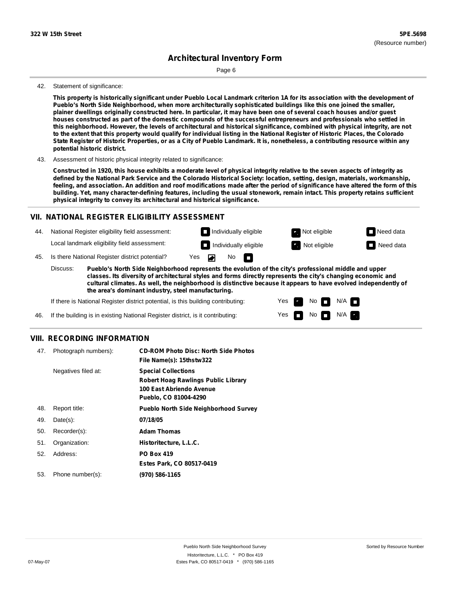Page 6

#### 42. Statement of significance:

This property is historically significant under Pueblo Local Landmark criterion 1A for its association with the development of **Pueblo's North Side Neighborhood, when more architecturally sophisticated buildings like this one joined the smaller,** plainer dwellings originally constructed here. In particular, it may have been one of several coach houses and/or guest houses constructed as part of the domestic compounds of the successful entrepreneurs and professionals who settled in this neighborhood. However, the levels of architectural and historical significance, combined with physical integrity, are not to the extent that this property would qualify for individual listing in the National Register of Historic Places, the Colorado State Register of Historic Properties, or as a City of Pueblo Landmark. It is, nonetheless, a contributing resource within any **potential historic district.**

43. Assessment of historic physical integrity related to significance:

Constructed in 1920, this house exhibits a moderate level of physical integrity relative to the seven aspects of integrity as defined by the National Park Service and the Colorado Historical Society: location, setting, design, materials, workmanship, feeling, and association. An addition and roof modifications made after the period of significance have altered the form of this building. Yet, many character-defining features, including the usual stonework, remain intact. This property retains sufficient **physical integrity to convey its architectural and historical significance.**

#### **VII. NATIONAL REGISTER ELIGIBILITY ASSESSMENT**

44. National Register eligibility field assessment: Local landmark eligibility field assessment:

45. Is there National Register district potential? Yes

**Pueblo's North Side Neighborhood represents the evolution of the city's professional middle and upper classes. Its diversity of architectural styles and forms directly represents the city's changing economic and cultural climates. As well, the neighborhood is distinctive because it appears to have evolved independently of the area's dominant industry, steel manufacturing.** Discuss:

No

m

Yes Yes No

**Individually eligible Not eligible** Not eligible **Need data Individually eligible Not eligible** Not eligible **Need data** 

 $No$   $\neg$   $N/A$ 

 $N/A$ 

If there is National Register district potential, is this building contributing:

If the building is in existing National Register district, is it contributing: 46.

#### **VIII. RECORDING INFORMATION**

| 47. | Photograph numbers): | <b>CD-ROM Photo Disc: North Side Photos</b><br>File Name(s): 15thstw322                                                       |
|-----|----------------------|-------------------------------------------------------------------------------------------------------------------------------|
|     | Negatives filed at:  | <b>Special Collections</b><br><b>Robert Hoag Rawlings Public Library</b><br>100 East Abriendo Avenue<br>Pueblo, CO 81004-4290 |
| 48. | Report title:        | <b>Pueblo North Side Neighborhood Survey</b>                                                                                  |
| 49. | $Date(s)$ :          | 07/18/05                                                                                                                      |
| 50. | Recorder(s):         | <b>Adam Thomas</b>                                                                                                            |
| 51. | Organization:        | Historitecture, L.L.C.                                                                                                        |
| 52. | Address:             | <b>PO Box 419</b>                                                                                                             |
|     |                      | Estes Park, CO 80517-0419                                                                                                     |
| 53. | Phone number(s):     | (970) 586-1165                                                                                                                |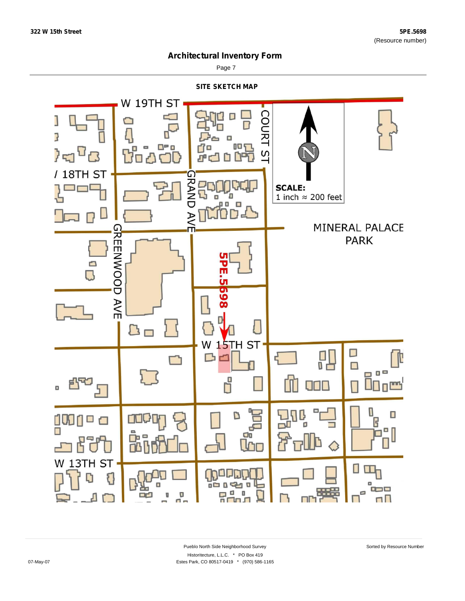

Page 7